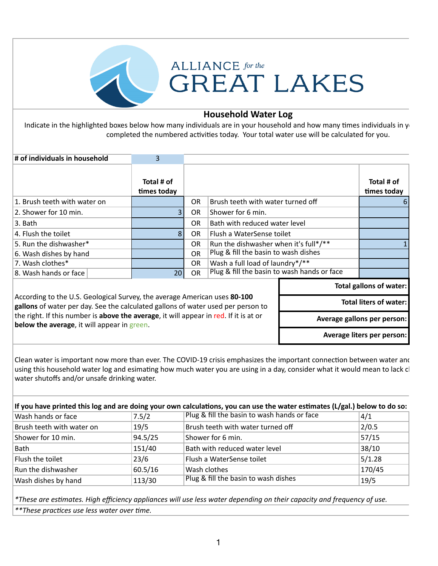

## **ALLIANCE** for the **GREAT LAKES**

## **Household Water Log**

Indicate in the highlighted boxes below how many individuals are in your household and how many times individuals in your completed the numbered activities today. Your total water use will be calculated for you.

| Total # of<br>times today                                                                                                                                                                      |                                            |                                       |  | Total # of<br>times today |  |
|------------------------------------------------------------------------------------------------------------------------------------------------------------------------------------------------|--------------------------------------------|---------------------------------------|--|---------------------------|--|
|                                                                                                                                                                                                | Brush teeth with water turned off<br>OR.   |                                       |  | b                         |  |
|                                                                                                                                                                                                | Shower for 6 min.<br>OR.                   |                                       |  |                           |  |
|                                                                                                                                                                                                | Bath with reduced water level<br><b>OR</b> |                                       |  |                           |  |
| 8                                                                                                                                                                                              | <b>OR</b>                                  | Flush a WaterSense toilet             |  |                           |  |
|                                                                                                                                                                                                | <b>OR</b>                                  | Run the dishwasher when it's full*/** |  |                           |  |
|                                                                                                                                                                                                | <b>OR</b>                                  | Plug & fill the basin to wash dishes  |  |                           |  |
|                                                                                                                                                                                                | OR.                                        | Wash a full load of laundry*/**       |  |                           |  |
| 20                                                                                                                                                                                             | <b>OR</b>                                  |                                       |  |                           |  |
|                                                                                                                                                                                                |                                            |                                       |  | Total gallons of water:   |  |
| According to the U.S. Geological Survey, the average American uses 80-100<br><b>Total liters of water:</b><br>gallons of water per day. See the calculated gallons of water used per person to |                                            |                                       |  |                           |  |
| the right. If this number is above the average, it will appear in red. If it is at or<br>below the average, it will appear in green.                                                           |                                            |                                       |  |                           |  |
|                                                                                                                                                                                                |                                            |                                       |  |                           |  |

Clean water is important now more than ever. The COVID-19 crisis emphasizes the important connection between water and using this household water log and esimating how much water you are using in a day, consider what it would mean to lack cl water shutoffs and/or unsafe drinking water.

| If you have printed this log and are doing your own calculations, you can use the water estimates (L/gal.) below to do so: |         |                                             |        |  |  |
|----------------------------------------------------------------------------------------------------------------------------|---------|---------------------------------------------|--------|--|--|
| Wash hands or face                                                                                                         | 7.5/2   | Plug & fill the basin to wash hands or face | 4/1    |  |  |
| Brush teeth with water on                                                                                                  | 19/5    | Brush teeth with water turned off           | 2/0.5  |  |  |
| Shower for 10 min.                                                                                                         | 94.5/25 | Shower for 6 min.                           | 57/15  |  |  |
| Bath                                                                                                                       | 151/40  | Bath with reduced water level               | 38/10  |  |  |
| Flush the toilet                                                                                                           | 23/6    | Flush a WaterSense toilet                   | 5/1.28 |  |  |
| Run the dishwasher                                                                                                         | 60.5/16 | Wash clothes                                | 170/45 |  |  |
| Wash dishes by hand                                                                                                        | 113/30  | Plug & fill the basin to wash dishes        | 19/5   |  |  |

*\*These are es)mates. High efficiency appliances will use less water depending on their capacity and frequency of use.* \*\*These practices use less water over time.